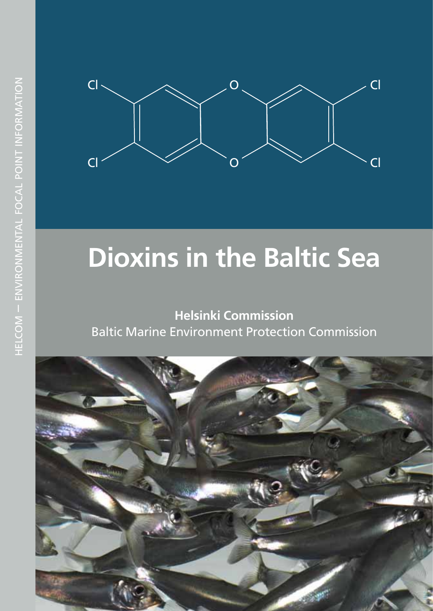

# **Dioxins in the Baltic Sea**

### **Helsinki Commission** Baltic Marine Environment Protection Commission

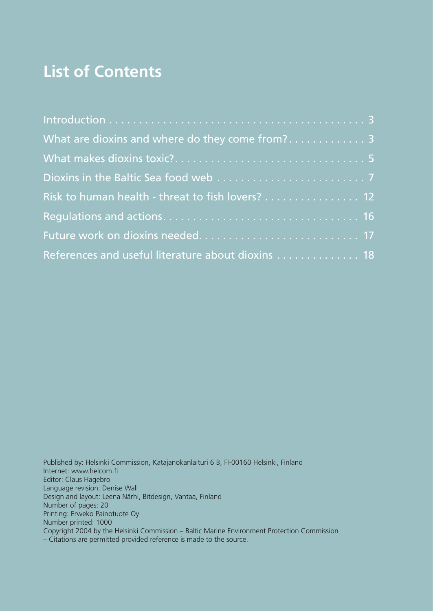# **List of Contents**

| What are dioxins and where do they come from? 3   |  |
|---------------------------------------------------|--|
|                                                   |  |
|                                                   |  |
| Risk to human health - threat to fish lovers? 12  |  |
|                                                   |  |
|                                                   |  |
| References and useful literature about dioxins 18 |  |

Published by: Helsinki Commission, Katajanokanlaituri 6 B, FI-00160 Helsinki, Finland Internet: www.helcom.fi Editor: Claus Hagebro Language revision: Denise Wall Design and layout: Leena Närhi, Bitdesign, Vantaa, Finland Number of pages: 20 Printing: Erweko Painotuote Oy Number printed: 1000 Copyright 2004 by the Helsinki Commission – Baltic Marine Environment Protection Commission – Citations are permitted provided reference is made to the source.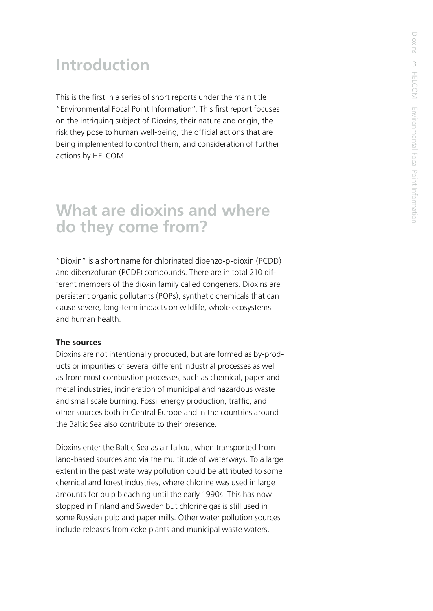# **Introduction**

This is the first in a series of short reports under the main title "Environmental Focal Point Information". This first report focuses on the intriguing subject of Dioxins, their nature and origin, the risk they pose to human well-being, the official actions that are being implemented to control them, and consideration of further actions by HELCOM.

## **What are dioxins and where do they come from?**

"Dioxin" is a short name for chlorinated dibenzo-p-dioxin (PCDD) and dibenzofuran (PCDF) compounds. There are in total 210 different members of the dioxin family called congeners. Dioxins are persistent organic pollutants (POPs), synthetic chemicals that can cause severe, long-term impacts on wildlife, whole ecosystems and human health.

#### **The sources**

Dioxins are not intentionally produced, but are formed as by-products or impurities of several different industrial processes as well as from most combustion processes, such as chemical, paper and metal industries, incineration of municipal and hazardous waste and small scale burning. Fossil energy production, traffic, and other sources both in Central Europe and in the countries around the Baltic Sea also contribute to their presence.

Dioxins enter the Baltic Sea as air fallout when transported from land-based sources and via the multitude of waterways. To a large extent in the past waterway pollution could be attributed to some chemical and forest industries, where chlorine was used in large amounts for pulp bleaching until the early 1990s. This has now stopped in Finland and Sweden but chlorine gas is still used in some Russian pulp and paper mills. Other water pollution sources include releases from coke plants and municipal waste waters.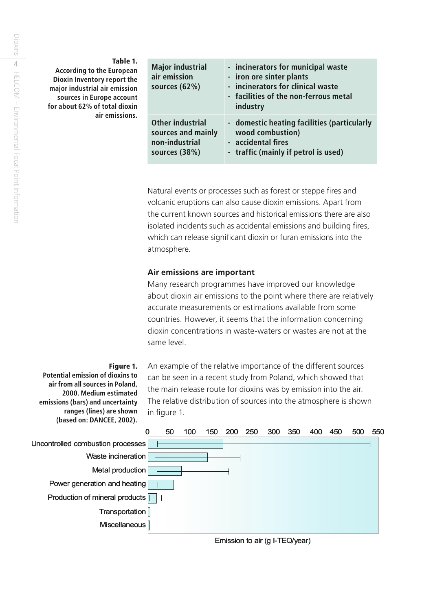| Table 1.<br><b>According to the European</b><br>Dioxin Inventory report the<br>major industrial air emission<br>sources in Europe account<br>for about 62% of total dioxin<br>air emissions. | <b>Major industrial</b><br>air emission<br>sources $(62%)$                | - incinerators for municipal waste<br>- iron ore sinter plants<br>- incinerators for clinical waste<br>- facilities of the non-ferrous metal<br>industry |
|----------------------------------------------------------------------------------------------------------------------------------------------------------------------------------------------|---------------------------------------------------------------------------|----------------------------------------------------------------------------------------------------------------------------------------------------------|
|                                                                                                                                                                                              | Other industrial<br>sources and mainly<br>non-industrial<br>sources (38%) | - domestic heating facilities (particularly<br>wood combustion)<br>- accidental fires<br>- traffic (mainly if petrol is used)                            |

Natural events or processes such as forest or steppe fires and volcanic eruptions can also cause dioxin emissions. Apart from the current known sources and historical emissions there are also isolated incidents such as accidental emissions and building fires, which can release significant dioxin or furan emissions into the atmosphere.

#### **Air emissions are important**

Many research programmes have improved our knowledge about dioxin air emissions to the point where there are relatively accurate measurements or estimations available from some countries. However, it seems that the information concerning dioxin concentrations in waste-waters or wastes are not at the same level.

#### **Figure 1.**

**Potential emission of dioxins to air from all sources in Poland, 2000. Medium estimated emissions (bars) and uncertainty ranges (lines) are shown (based on: DANCEE, 2002).**

An example of the relative importance of the different sources can be seen in a recent study from Poland, which showed that the main release route for dioxins was by emission into the air. The relative distribution of sources into the atmosphere is shown in figure 1.

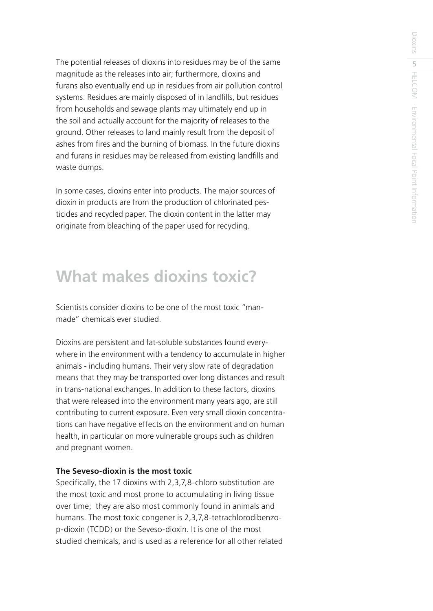The potential releases of dioxins into residues may be of the same magnitude as the releases into air; furthermore, dioxins and furans also eventually end up in residues from air pollution control systems. Residues are mainly disposed of in landfills, but residues from households and sewage plants may ultimately end up in the soil and actually account for the majority of releases to the ground. Other releases to land mainly result from the deposit of ashes from fires and the burning of biomass. In the future dioxins and furans in residues may be released from existing landfills and waste dumps.

In some cases, dioxins enter into products. The major sources of dioxin in products are from the production of chlorinated pesticides and recycled paper. The dioxin content in the latter may originate from bleaching of the paper used for recycling.

## **What makes dioxins toxic?**

Scientists consider dioxins to be one of the most toxic "manmade" chemicals ever studied.

Dioxins are persistent and fat-soluble substances found everywhere in the environment with a tendency to accumulate in higher animals - including humans. Their very slow rate of degradation means that they may be transported over long distances and result in trans-national exchanges. In addition to these factors, dioxins that were released into the environment many years ago, are still contributing to current exposure. Even very small dioxin concentrations can have negative effects on the environment and on human health, in particular on more vulnerable groups such as children and pregnant women.

#### **The Seveso-dioxin is the most toxic**

Specifically, the 17 dioxins with 2,3,7,8-chloro substitution are the most toxic and most prone to accumulating in living tissue over time; they are also most commonly found in animals and humans. The most toxic congener is 2,3,7,8-tetrachlorodibenzop-dioxin (TCDD) or the Seveso-dioxin. It is one of the most studied chemicals, and is used as a reference for all other related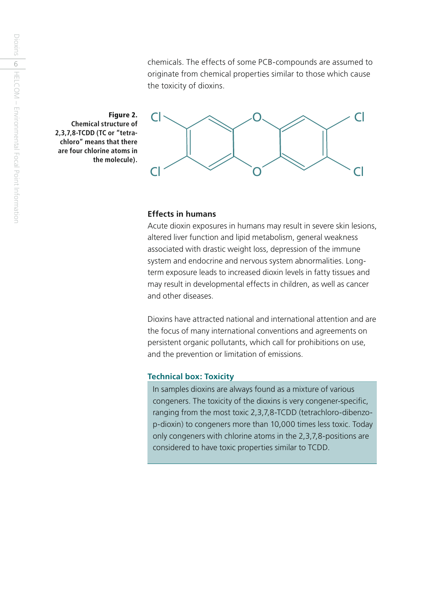chemicals. The effects of some PCB-compounds are assumed to originate from chemical properties similar to those which cause the toxicity of dioxins.

**Figure 2.** O **Chemical structure of 2,3,7,8-TCDD (TC or "tetrachloro" means that there are four chlorine atoms in the molecule).**



#### **Effects in humans**

Acute dioxin exposures in humans may result in severe skin lesions, altered liver function and lipid metabolism, general weakness associated with drastic weight loss, depression of the immune system and endocrine and nervous system abnormalities. Longterm exposure leads to increased dioxin levels in fatty tissues and may result in developmental effects in children, as well as cancer and other diseases.

Dioxins have attracted national and international attention and are the focus of many international conventions and agreements on persistent organic pollutants, which call for prohibitions on use, and the prevention or limitation of emissions.

#### **Technical box: Toxicity**

In samples dioxins are always found as a mixture of various congeners. The toxicity of the dioxins is very congener-specific, ranging from the most toxic 2,3,7,8-TCDD (tetrachloro-dibenzop-dioxin) to congeners more than 10,000 times less toxic. Today only congeners with chlorine atoms in the 2,3,7,8-positions are considered to have toxic properties similar to TCDD.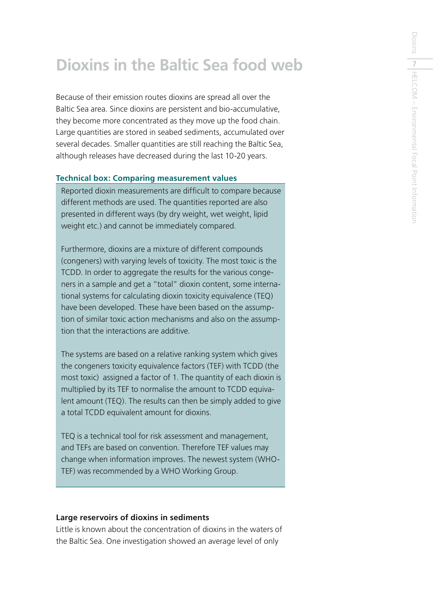# **Dioxins in the Baltic Sea food web**

Because of their emission routes dioxins are spread all over the Baltic Sea area. Since dioxins are persistent and bio-accumulative, they become more concentrated as they move up the food chain. Large quantities are stored in seabed sediments, accumulated over several decades. Smaller quantities are still reaching the Baltic Sea, although releases have decreased during the last 10-20 years.

#### **Technical box: Comparing measurement values**

Reported dioxin measurements are difficult to compare because different methods are used. The quantities reported are also presented in different ways (by dry weight, wet weight, lipid weight etc.) and cannot be immediately compared.

Furthermore, dioxins are a mixture of different compounds (congeners) with varying levels of toxicity. The most toxic is the TCDD. In order to aggregate the results for the various congeners in a sample and get a "total" dioxin content, some international systems for calculating dioxin toxicity equivalence (TEQ) have been developed. These have been based on the assumption of similar toxic action mechanisms and also on the assumption that the interactions are additive.

The systems are based on a relative ranking system which gives the congeners toxicity equivalence factors (TEF) with TCDD (the most toxic) assigned a factor of 1. The quantity of each dioxin is multiplied by its TEF to normalise the amount to TCDD equivalent amount (TEQ). The results can then be simply added to give a total TCDD equivalent amount for dioxins.

TEQ is a technical tool for risk assessment and management, and TEFs are based on convention. Therefore TEF values may change when information improves. The newest system (WHO-TEF) was recommended by a WHO Working Group.

#### **Large reservoirs of dioxins in sediments**

Little is known about the concentration of dioxins in the waters of the Baltic Sea. One investigation showed an average level of only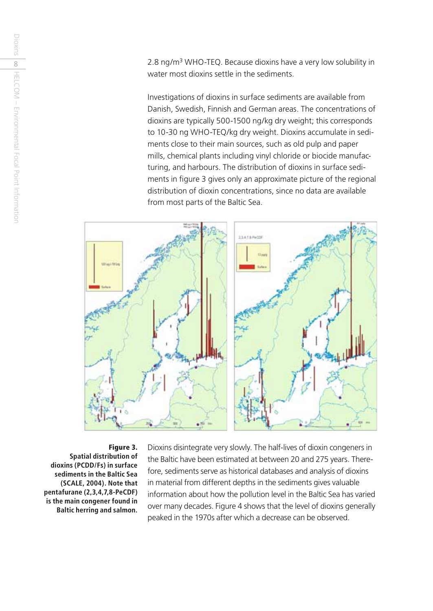2.8 ng/m3 WHO-TEQ. Because dioxins have a very low solubility in water most dioxins settle in the sediments.

Investigations of dioxins in surface sediments are available from Danish, Swedish, Finnish and German areas. The concentrations of dioxins are typically 500-1500 ng/kg dry weight; this corresponds to 10-30 ng WHO-TEQ/kg dry weight. Dioxins accumulate in sediments close to their main sources, such as old pulp and paper mills, chemical plants including vinyl chloride or biocide manufacturing, and harbours. The distribution of dioxins in surface sediments in figure 3 gives only an approximate picture of the regional distribution of dioxin concentrations, since no data are available from most parts of the Baltic Sea.



**Figure 3. Spatial distribution of dioxins (PCDD/Fs) in surface sediments in the Baltic Sea (SCALE, 2004). Note that pentafurane (2,3,4,7,8-PeCDF) is the main congener found in Baltic herring and salmon.** Dioxins disintegrate very slowly. The half-lives of dioxin congeners in the Baltic have been estimated at between 20 and 275 years. Therefore, sediments serve as historical databases and analysis of dioxins in material from different depths in the sediments gives valuable information about how the pollution level in the Baltic Sea has varied over many decades. Figure 4 shows that the level of dioxins generally peaked in the 1970s after which a decrease can be observed.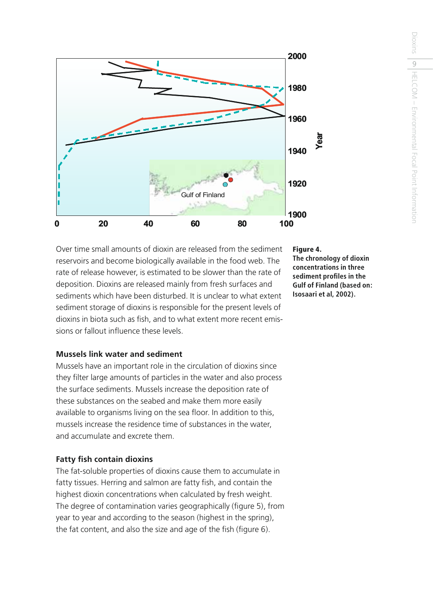

Over time small amounts of dioxin are released from the sediment reservoirs and become biologically available in the food web. The rate of release however, is estimated to be slower than the rate of deposition. Dioxins are released mainly from fresh surfaces and sediments which have been disturbed. It is unclear to what extent sediment storage of dioxins is responsible for the present levels of dioxins in biota such as fish, and to what extent more recent emissions or fallout influence these levels.

#### **Mussels link water and sediment**

Mussels have an important role in the circulation of dioxins since they filter large amounts of particles in the water and also process the surface sediments. Mussels increase the deposition rate of these substances on the seabed and make them more easily available to organisms living on the sea floor. In addition to this, mussels increase the residence time of substances in the water, and accumulate and excrete them.

#### **Fatty fish contain dioxins**

The fat-soluble properties of dioxins cause them to accumulate in fatty tissues. Herring and salmon are fatty fish, and contain the highest dioxin concentrations when calculated by fresh weight. The degree of contamination varies geographically (figure 5), from year to year and according to the season (highest in the spring), the fat content, and also the size and age of the fish (figure 6).

#### **Figure 4.**

**The chronology of dioxin concentrations in three sediment profi les in the Gulf of Finland (based on: Isosaari et al, 2002).**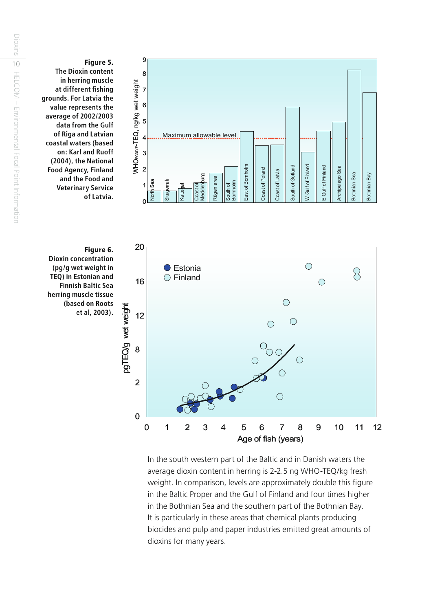

In the south western part of the Baltic and in Danish waters the average dioxin content in herring is 2-2.5 ng WHO-TEQ/kg fresh weight. In comparison, levels are approximately double this figure in the Baltic Proper and the Gulf of Finland and four times higher in the Bothnian Sea and the southern part of the Bothnian Bay. It is particularly in these areas that chemical plants producing biocides and pulp and paper industries emitted great amounts of dioxins for many years.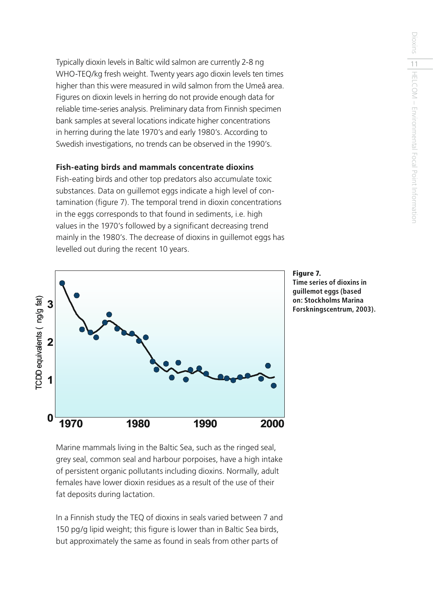Typically dioxin levels in Baltic wild salmon are currently 2-8 ng WHO-TEQ/kg fresh weight. Twenty years ago dioxin levels ten times higher than this were measured in wild salmon from the Umeå area. Figures on dioxin levels in herring do not provide enough data for reliable time-series analysis. Preliminary data from Finnish specimen bank samples at several locations indicate higher concentrations in herring during the late 1970's and early 1980's. According to Swedish investigations, no trends can be observed in the 1990's.

#### **Fish-eating birds and mammals concentrate dioxins**

Fish-eating birds and other top predators also accumulate toxic substances. Data on guillemot eggs indicate a high level of contamination (figure 7). The temporal trend in dioxin concentrations in the eggs corresponds to that found in sediments, i.e. high values in the 1970's followed by a significant decreasing trend mainly in the 1980's. The decrease of dioxins in guillemot eggs has levelled out during the recent 10 years.



**Figure 7. Time series of dioxins in guillemot eggs (based on: Stockholms Marina** 

Marine mammals living in the Baltic Sea, such as the ringed seal, grey seal, common seal and harbour porpoises, have a high intake of persistent organic pollutants including dioxins. Normally, adult females have lower dioxin residues as a result of the use of their fat deposits during lactation.

In a Finnish study the TEQ of dioxins in seals varied between 7 and 150 pg/g lipid weight; this figure is lower than in Baltic Sea birds, but approximately the same as found in seals from other parts of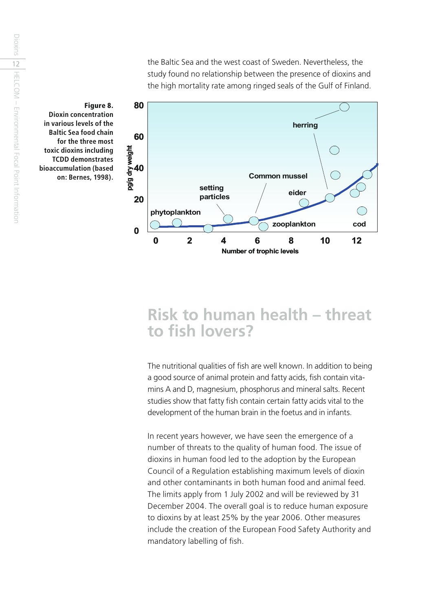the Baltic Sea and the west coast of Sweden. Nevertheless, the study found no relationship between the presence of dioxins and the high mortality rate among ringed seals of the Gulf of Finland.



**Figure 8. Dioxin concentration in various levels of the Baltic Sea food chain for the three most toxic dioxins including TCDD demonstrates bioaccumulation (based on: Bernes, 1998).**

### **Risk to human health – threat**  to fish lovers?

The nutritional qualities of fish are well known. In addition to being a good source of animal protein and fatty acids, fish contain vitamins A and D, magnesium, phosphorus and mineral salts. Recent studies show that fatty fish contain certain fatty acids vital to the development of the human brain in the foetus and in infants.

In recent years however, we have seen the emergence of a number of threats to the quality of human food. The issue of dioxins in human food led to the adoption by the European Council of a Regulation establishing maximum levels of dioxin and other contaminants in both human food and animal feed. The limits apply from 1 July 2002 and will be reviewed by 31 December 2004. The overall goal is to reduce human exposure to dioxins by at least 25% by the year 2006. Other measures include the creation of the European Food Safety Authority and mandatory labelling of fish.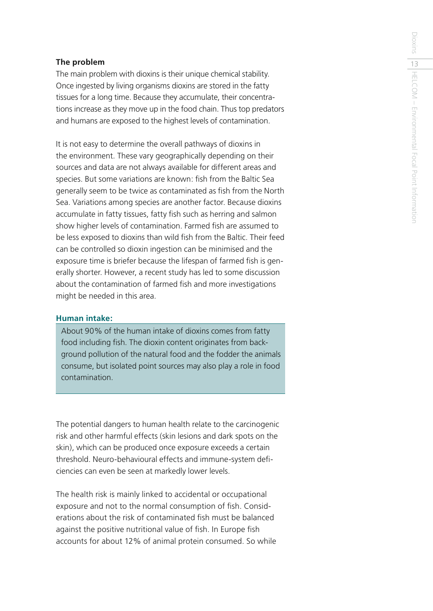#### **The problem**

The main problem with dioxins is their unique chemical stability. Once ingested by living organisms dioxins are stored in the fatty tissues for a long time. Because they accumulate, their concentrations increase as they move up in the food chain. Thus top predators and humans are exposed to the highest levels of contamination.

It is not easy to determine the overall pathways of dioxins in the environment. These vary geographically depending on their sources and data are not always available for different areas and species. But some variations are known: fish from the Baltic Sea generally seem to be twice as contaminated as fish from the North Sea. Variations among species are another factor. Because dioxins accumulate in fatty tissues, fatty fish such as herring and salmon show higher levels of contamination. Farmed fish are assumed to be less exposed to dioxins than wild fish from the Baltic. Their feed can be controlled so dioxin ingestion can be minimised and the exposure time is briefer because the lifespan of farmed fish is generally shorter. However, a recent study has led to some discussion about the contamination of farmed fish and more investigations might be needed in this area.

#### **Human intake:**

About 90% of the human intake of dioxins comes from fatty food including fish. The dioxin content originates from background pollution of the natural food and the fodder the animals consume, but isolated point sources may also play a role in food contamination.

The potential dangers to human health relate to the carcinogenic risk and other harmful effects (skin lesions and dark spots on the skin), which can be produced once exposure exceeds a certain threshold. Neuro-behavioural effects and immune-system defi ciencies can even be seen at markedly lower levels.

The health risk is mainly linked to accidental or occupational exposure and not to the normal consumption of fish. Considerations about the risk of contaminated fish must be balanced against the positive nutritional value of fish. In Europe fish accounts for about 12% of animal protein consumed. So while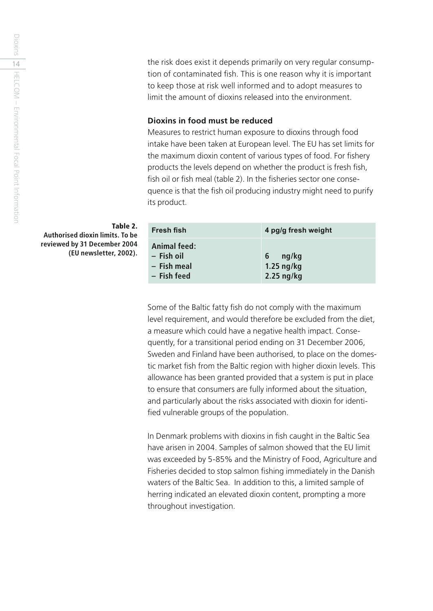the risk does exist it depends primarily on very regular consumption of contaminated fish. This is one reason why it is important to keep those at risk well informed and to adopt measures to limit the amount of dioxins released into the environment.

#### **Dioxins in food must be reduced**

Measures to restrict human exposure to dioxins through food intake have been taken at European level. The EU has set limits for the maximum dioxin content of various types of food. For fishery products the levels depend on whether the product is fresh fish, fish oil or fish meal (table 2). In the fisheries sector one consequence is that the fish oil producing industry might need to purify its product.

| Fresh fish   | 4 pg/g fresh weight |
|--------------|---------------------|
| Animal feed: | ng/kg               |
| - Fish oil   | 6                   |
| - Fish meal  | $1.25$ ng/kg        |
| - Fish feed  | $2.25$ ng/kg        |

Some of the Baltic fatty fish do not comply with the maximum level requirement, and would therefore be excluded from the diet, a measure which could have a negative health impact. Consequently, for a transitional period ending on 31 December 2006, Sweden and Finland have been authorised, to place on the domestic market fish from the Baltic region with higher dioxin levels. This allowance has been granted provided that a system is put in place to ensure that consumers are fully informed about the situation, and particularly about the risks associated with dioxin for identified vulnerable groups of the population.

In Denmark problems with dioxins in fish caught in the Baltic Sea have arisen in 2004. Samples of salmon showed that the EU limit was exceeded by 5-85% and the Ministry of Food, Agriculture and Fisheries decided to stop salmon fishing immediately in the Danish waters of the Baltic Sea. In addition to this, a limited sample of herring indicated an elevated dioxin content, prompting a more throughout investigation.

**Table 2. Authorised dioxin limits. To be reviewed by 31 December 2004 (EU newsletter, 2002).**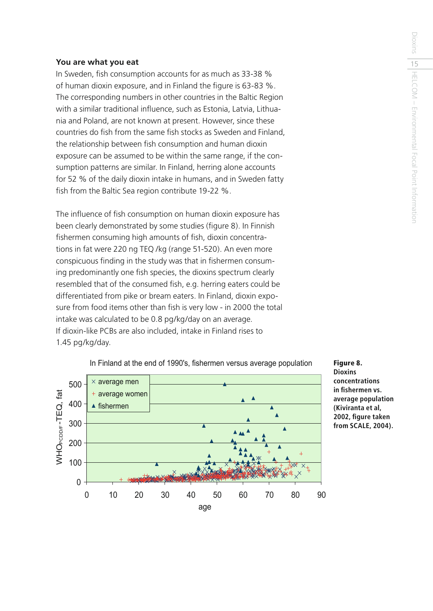#### **You are what you eat**

In Sweden, fish consumption accounts for as much as 33-38 % of human dioxin exposure, and in Finland the figure is 63-83 %. The corresponding numbers in other countries in the Baltic Region with a similar traditional influence, such as Estonia, Latvia, Lithuania and Poland, are not known at present. However, since these countries do fish from the same fish stocks as Sweden and Finland, the relationship between fish consumption and human dioxin exposure can be assumed to be within the same range, if the consumption patterns are similar. In Finland, herring alone accounts for 52 % of the daily dioxin intake in humans, and in Sweden fatty fish from the Baltic Sea region contribute 19-22 %.

The influence of fish consumption on human dioxin exposure has been clearly demonstrated by some studies (figure 8). In Finnish fishermen consuming high amounts of fish, dioxin concentrations in fat were 220 ng TEQ /kg (range 51-520). An even more conspicuous finding in the study was that in fishermen consuming predominantly one fish species, the dioxins spectrum clearly resembled that of the consumed fish, e.g. herring eaters could be differentiated from pike or bream eaters. In Finland, dioxin exposure from food items other than fish is very low - in 2000 the total intake was calculated to be 0.8 pg/kg/day on an average. If dioxin-like PCBs are also included, intake in Finland rises to 1.45 pg/kg/day.



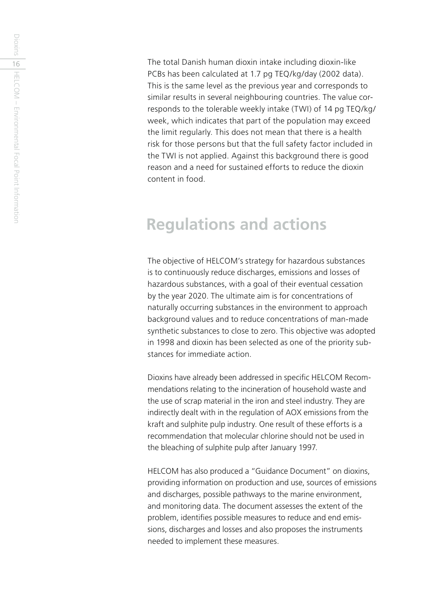The total Danish human dioxin intake including dioxin-like PCBs has been calculated at 1.7 pg TEQ/kg/day (2002 data). This is the same level as the previous year and corresponds to similar results in several neighbouring countries. The value corresponds to the tolerable weekly intake (TWI) of 14 pg TEQ/kg/ week, which indicates that part of the population may exceed the limit regularly. This does not mean that there is a health risk for those persons but that the full safety factor included in the TWI is not applied. Against this background there is good reason and a need for sustained efforts to reduce the dioxin content in food.

### **Regulations and actions**

The objective of HELCOM's strategy for hazardous substances is to continuously reduce discharges, emissions and losses of hazardous substances, with a goal of their eventual cessation by the year 2020. The ultimate aim is for concentrations of naturally occurring substances in the environment to approach background values and to reduce concentrations of man-made synthetic substances to close to zero. This objective was adopted in 1998 and dioxin has been selected as one of the priority substances for immediate action.

Dioxins have already been addressed in specific HELCOM Recommendations relating to the incineration of household waste and the use of scrap material in the iron and steel industry. They are indirectly dealt with in the regulation of AOX emissions from the kraft and sulphite pulp industry. One result of these efforts is a recommendation that molecular chlorine should not be used in the bleaching of sulphite pulp after January 1997.

HELCOM has also produced a "Guidance Document" on dioxins, providing information on production and use, sources of emissions and discharges, possible pathways to the marine environment, and monitoring data. The document assesses the extent of the problem, identifies possible measures to reduce and end emissions, discharges and losses and also proposes the instruments needed to implement these measures.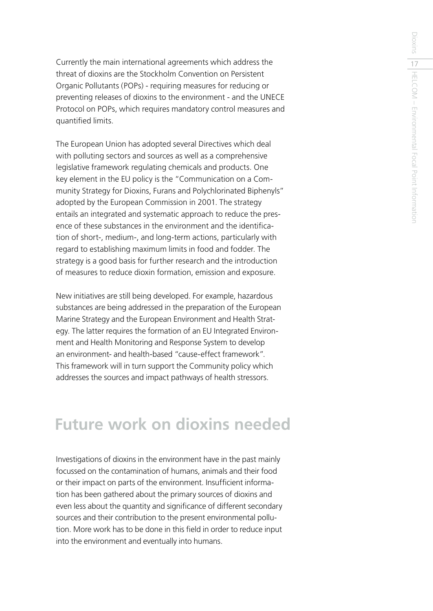Currently the main international agreements which address the threat of dioxins are the Stockholm Convention on Persistent Organic Pollutants (POPs) - requiring measures for reducing or preventing releases of dioxins to the environment - and the UNECE Protocol on POPs, which requires mandatory control measures and quantified limits.

The European Union has adopted several Directives which deal with polluting sectors and sources as well as a comprehensive legislative framework regulating chemicals and products. One key element in the EU policy is the "Communication on a Community Strategy for Dioxins, Furans and Polychlorinated Biphenyls" adopted by the European Commission in 2001. The strategy entails an integrated and systematic approach to reduce the presence of these substances in the environment and the identification of short-, medium-, and long-term actions, particularly with regard to establishing maximum limits in food and fodder. The strategy is a good basis for further research and the introduction of measures to reduce dioxin formation, emission and exposure.

New initiatives are still being developed. For example, hazardous substances are being addressed in the preparation of the European Marine Strategy and the European Environment and Health Strategy. The latter requires the formation of an EU Integrated Environment and Health Monitoring and Response System to develop an environment- and health-based "cause-effect framework". This framework will in turn support the Community policy which addresses the sources and impact pathways of health stressors.

### **Future work on dioxins needed**

Investigations of dioxins in the environment have in the past mainly focussed on the contamination of humans, animals and their food or their impact on parts of the environment. Insufficient information has been gathered about the primary sources of dioxins and even less about the quantity and significance of different secondary sources and their contribution to the present environmental pollution. More work has to be done in this field in order to reduce input into the environment and eventually into humans.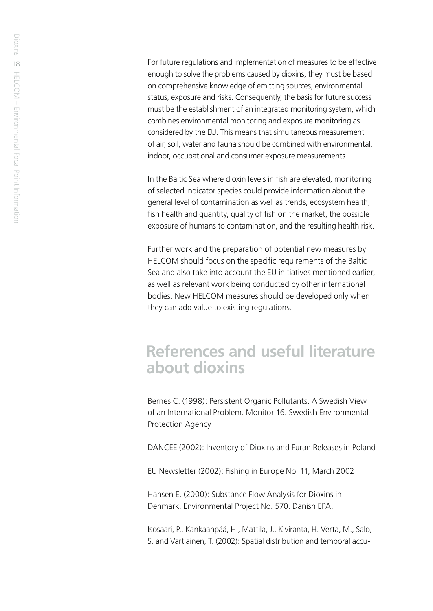For future regulations and implementation of measures to be effective enough to solve the problems caused by dioxins, they must be based on comprehensive knowledge of emitting sources, environmental status, exposure and risks. Consequently, the basis for future success must be the establishment of an integrated monitoring system, which combines environmental monitoring and exposure monitoring as considered by the EU. This means that simultaneous measurement of air, soil, water and fauna should be combined with environmental, indoor, occupational and consumer exposure measurements.

In the Baltic Sea where dioxin levels in fish are elevated, monitoring of selected indicator species could provide information about the general level of contamination as well as trends, ecosystem health, fish health and quantity, quality of fish on the market, the possible exposure of humans to contamination, and the resulting health risk.

Further work and the preparation of potential new measures by HELCOM should focus on the specific requirements of the Baltic Sea and also take into account the EU initiatives mentioned earlier, as well as relevant work being conducted by other international bodies. New HELCOM measures should be developed only when they can add value to existing regulations.

### **References and useful literature about dioxins**

Bernes C. (1998): Persistent Organic Pollutants. A Swedish View of an International Problem. Monitor 16. Swedish Environmental Protection Agency

DANCEE (2002): Inventory of Dioxins and Furan Releases in Poland

EU Newsletter (2002): Fishing in Europe No. 11, March 2002

Hansen E. (2000): Substance Flow Analysis for Dioxins in Denmark. Environmental Project No. 570. Danish EPA.

Isosaari, P., Kankaanpää, H., Mattila, J., Kiviranta, H. Verta, M., Salo, S. and Vartiainen, T. (2002): Spatial distribution and temporal accu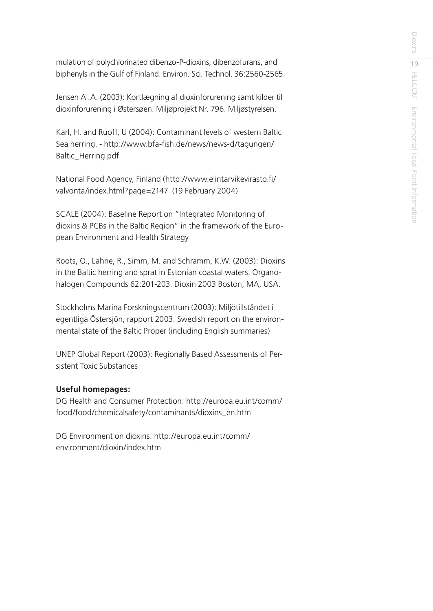mulation of polychlorinated dibenzo-P-dioxins, dibenzofurans, and biphenyls in the Gulf of Finland. Environ. Sci. Technol. 36:2560-2565.

Jensen A .A. (2003): Kortlægning af dioxinforurening samt kilder til dioxinforurening i Østersøen. Miljøprojekt Nr. 796. Miljøstyrelsen.

Karl, H. and Ruoff, U (2004): Contaminant levels of western Baltic Sea herring. - http://www.bfa-fish.de/news/news-d/tagungen/ Baltic\_Herring.pdf

National Food Agency, Finland (http://www.elintarvikevirasto.fi/ valvonta/index.html?page=2147 (19 February 2004)

SCALE (2004): Baseline Report on "Integrated Monitoring of dioxins & PCBs in the Baltic Region" in the framework of the European Environment and Health Strategy

Roots, O., Lahne, R., Simm, M. and Schramm, K.W. (2003): Dioxins in the Baltic herring and sprat in Estonian coastal waters. Organohalogen Compounds 62:201-203. Dioxin 2003 Boston, MA, USA.

Stockholms Marina Forskningscentrum (2003): Miljötillståndet i egentliga Östersjön, rapport 2003. Swedish report on the environmental state of the Baltic Proper (including English summaries)

UNEP Global Report (2003): Regionally Based Assessments of Persistent Toxic Substances

#### **Useful homepages:**

DG Health and Consumer Protection: http://europa.eu.int/comm/ food/food/chemicalsafety/contaminants/dioxins\_en.htm

DG Environment on dioxins: http://europa.eu.int/comm/ environment/dioxin/index.htm